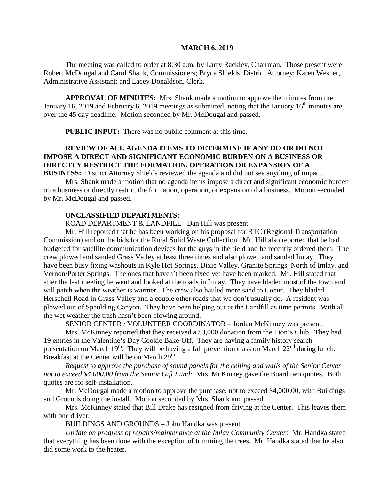#### **MARCH 6, 2019**

The meeting was called to order at 8:30 a.m. by Larry Rackley, Chairman. Those present were Robert McDougal and Carol Shank, Commissioners; Bryce Shields, District Attorney; Karen Wesner, Administrative Assistant; and Lacey Donaldson, Clerk.

**APPROVAL OF MINUTES:** Mrs. Shank made a motion to approve the minutes from the January 16, 2019 and February 6, 2019 meetings as submitted, noting that the January  $16<sup>th</sup>$  minutes are over the 45 day deadline. Motion seconded by Mr. McDougal and passed.

 **PUBLIC INPUT:** There was no public comment at this time.

# **REVIEW OF ALL AGENDA ITEMS TO DETERMINE IF ANY DO OR DO NOT IMPOSE A DIRECT AND SIGNIFICANT ECONOMIC BURDEN ON A BUSINESS OR DIRECTLY RESTRICT THE FORMATION, OPERATION OR EXPANSION OF A**

**BUSINESS:** District Attorney Shields reviewed the agenda and did not see anything of impact.

Mrs. Shank made a motion that no agenda items impose a direct and significant economic burden on a business or directly restrict the formation, operation, or expansion of a business. Motion seconded by Mr. McDougal and passed.

#### **UNCLASSIFIED DEPARTMENTS:**

ROAD DEPARTMENT & LANDFILL– Dan Hill was present.

Mr. Hill reported that he has been working on his proposal for RTC (Regional Transportation Commission) and on the bids for the Rural Solid Waste Collection. Mr. Hill also reported that he had budgeted for satellite communication devices for the guys in the field and he recently ordered them. The crew plowed and sanded Grass Valley at least three times and also plowed and sanded Imlay. They have been busy fixing washouts in Kyle Hot Springs, Dixie Valley, Granite Springs, North of Imlay, and Vernon/Porter Springs. The ones that haven't been fixed yet have been marked. Mr. Hill stated that after the last meeting he went and looked at the roads in Imlay. They have bladed most of the town and will patch when the weather is warmer. The crew also hauled more sand to Coeur. They bladed Herschell Road in Grass Valley and a couple other roads that we don't usually do. A resident was plowed out of Spaulding Canyon. They have been helping out at the Landfill as time permits. With all the wet weather the trash hasn't been blowing around.

SENIOR CENTER / VOLUNTEER COORDINATOR – Jordan McKinney was present.

Mrs. McKinney reported that they received a \$3,000 donation from the Lion's Club. They had 19 entries in the Valentine's Day Cookie Bake-Off. They are having a family history search presentation on March  $19<sup>th</sup>$ . They will be having a fall prevention class on March  $22<sup>nd</sup>$  during lunch. Breakfast at the Center will be on March 29<sup>th</sup>.

*Request to approve the purchase of sound panels for the ceiling and walls of the Senior Center not to exceed \$4,000.00 from the Senior Gift Fund:* Mrs. McKinney gave the Board two quotes. Both quotes are for self-installation.

Mr. McDougal made a motion to approve the purchase, not to exceed \$4,000.00, with Buildings and Grounds doing the install. Motion seconded by Mrs. Shank and passed.

Mrs. McKinney stated that Bill Drake has resigned from driving at the Center. This leaves them with one driver.

BUILDINGS AND GROUNDS – John Handka was present.

*Update on progress of repairs/maintenance at the Imlay Community Center:* Mr. Handka stated that everything has been done with the exception of trimming the trees. Mr. Handka stated that he also did some work to the heater.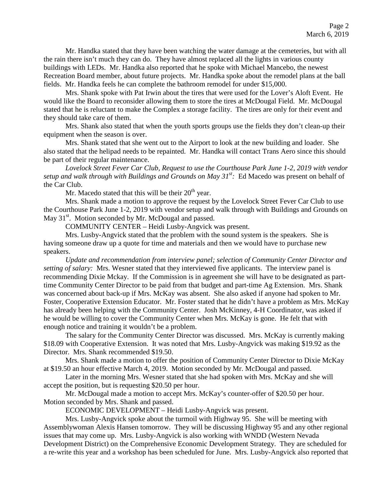Mr. Handka stated that they have been watching the water damage at the cemeteries, but with all the rain there isn't much they can do. They have almost replaced all the lights in various county buildings with LEDs. Mr. Handka also reported that he spoke with Michael Mancebo, the newest Recreation Board member, about future projects. Mr. Handka spoke about the remodel plans at the ball fields. Mr. Handka feels he can complete the bathroom remodel for under \$15,000.

Mrs. Shank spoke with Pat Irwin about the tires that were used for the Lover's Aloft Event. He would like the Board to reconsider allowing them to store the tires at McDougal Field. Mr. McDougal stated that he is reluctant to make the Complex a storage facility. The tires are only for their event and they should take care of them.

Mrs. Shank also stated that when the youth sports groups use the fields they don't clean-up their equipment when the season is over.

Mrs. Shank stated that she went out to the Airport to look at the new building and loader. She also stated that the helipad needs to be repainted. Mr. Handka will contact Trans Aero since this should be part of their regular maintenance.

*Lovelock Street Fever Car Club, Request to use the Courthouse Park June 1-2, 2019 with vendor setup and walk through with Buildings and Grounds on May 31st :* Ed Macedo was present on behalf of the Car Club.

Mr. Macedo stated that this will be their  $20<sup>th</sup>$  year.

Mrs. Shank made a motion to approve the request by the Lovelock Street Fever Car Club to use the Courthouse Park June 1-2, 2019 with vendor setup and walk through with Buildings and Grounds on May  $31<sup>st</sup>$ . Motion seconded by Mr. McDougal and passed.

COMMUNITY CENTER – Heidi Lusby-Angvick was present.

Mrs. Lusby-Angvick stated that the problem with the sound system is the speakers. She is having someone draw up a quote for time and materials and then we would have to purchase new speakers.

*Update and recommendation from interview panel; selection of Community Center Director and setting of salary:* Mrs. Wesner stated that they interviewed five applicants. The interview panel is recommending Dixie Mckay. If the Commission is in agreement she will have to be designated as parttime Community Center Director to be paid from that budget and part-time Ag Extension. Mrs. Shank was concerned about back-up if Mrs. McKay was absent. She also asked if anyone had spoken to Mr. Foster, Cooperative Extension Educator. Mr. Foster stated that he didn't have a problem as Mrs. McKay has already been helping with the Community Center. Josh McKinney, 4-H Coordinator, was asked if he would be willing to cover the Community Center when Mrs. McKay is gone. He felt that with enough notice and training it wouldn't be a problem.

The salary for the Community Center Director was discussed. Mrs. McKay is currently making \$18.09 with Cooperative Extension. It was noted that Mrs. Lusby-Angvick was making \$19.92 as the Director. Mrs. Shank recommended \$19.50.

Mrs. Shank made a motion to offer the position of Community Center Director to Dixie McKay at \$19.50 an hour effective March 4, 2019. Motion seconded by Mr. McDougal and passed.

Later in the morning Mrs. Wesner stated that she had spoken with Mrs. McKay and she will accept the position, but is requesting \$20.50 per hour.

Mr. McDougal made a motion to accept Mrs. McKay's counter-offer of \$20.50 per hour. Motion seconded by Mrs. Shank and passed.

ECONOMIC DEVELOPMENT – Heidi Lusby-Angvick was present.

Mrs. Lusby-Angvick spoke about the turmoil with Highway 95. She will be meeting with Assemblywoman Alexis Hansen tomorrow. They will be discussing Highway 95 and any other regional issues that may come up. Mrs. Lusby-Angvick is also working with WNDD (Western Nevada Development District) on the Comprehensive Economic Development Strategy. They are scheduled for a re-write this year and a workshop has been scheduled for June. Mrs. Lusby-Angvick also reported that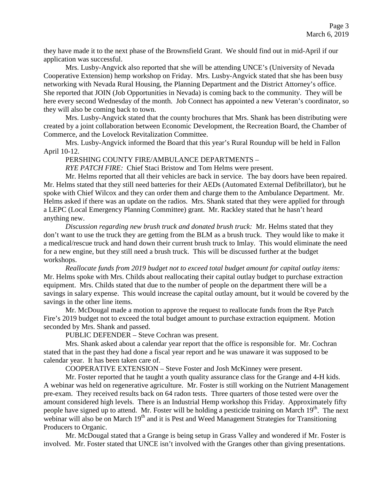they have made it to the next phase of the Brownsfield Grant. We should find out in mid-April if our application was successful.

Mrs. Lusby-Angvick also reported that she will be attending UNCE's (University of Nevada Cooperative Extension) hemp workshop on Friday. Mrs. Lusby-Angvick stated that she has been busy networking with Nevada Rural Housing, the Planning Department and the District Attorney's office. She reported that JOIN (Job Opportunities in Nevada) is coming back to the community. They will be here every second Wednesday of the month. Job Connect has appointed a new Veteran's coordinator, so they will also be coming back to town.

Mrs. Lusby-Angvick stated that the county brochures that Mrs. Shank has been distributing were created by a joint collaboration between Economic Development, the Recreation Board, the Chamber of Commerce, and the Lovelock Revitalization Committee.

Mrs. Lusby-Angvick informed the Board that this year's Rural Roundup will be held in Fallon April 10-12.

PERSHING COUNTY FIRE/AMBULANCE DEPARTMENTS –

*RYE PATCH FIRE:* Chief Staci Bristow and Tom Helms were present.

Mr. Helms reported that all their vehicles are back in service. The bay doors have been repaired. Mr. Helms stated that they still need batteries for their AEDs (Automated External Defibrillator), but he spoke with Chief Wilcox and they can order them and charge them to the Ambulance Department. Mr. Helms asked if there was an update on the radios. Mrs. Shank stated that they were applied for through a LEPC (Local Emergency Planning Committee) grant. Mr. Rackley stated that he hasn't heard anything new.

*Discussion regarding new brush truck and donated brush truck:* Mr. Helms stated that they don't want to use the truck they are getting from the BLM as a brush truck. They would like to make it a medical/rescue truck and hand down their current brush truck to Imlay. This would eliminate the need for a new engine, but they still need a brush truck. This will be discussed further at the budget workshops.

*Reallocate funds from 2019 budget not to exceed total budget amount for capital outlay items:*  Mr. Helms spoke with Mrs. Childs about reallocating their capital outlay budget to purchase extraction equipment. Mrs. Childs stated that due to the number of people on the department there will be a savings in salary expense. This would increase the capital outlay amount, but it would be covered by the savings in the other line items.

Mr. McDougal made a motion to approve the request to reallocate funds from the Rye Patch Fire's 2019 budget not to exceed the total budget amount to purchase extraction equipment. Motion seconded by Mrs. Shank and passed.

PUBLIC DEFENDER – Steve Cochran was present.

Mrs. Shank asked about a calendar year report that the office is responsible for. Mr. Cochran stated that in the past they had done a fiscal year report and he was unaware it was supposed to be calendar year. It has been taken care of.

COOPERATIVE EXTENSION – Steve Foster and Josh McKinney were present.

Mr. Foster reported that he taught a youth quality assurance class for the Grange and 4-H kids. A webinar was held on regenerative agriculture. Mr. Foster is still working on the Nutrient Management pre-exam. They received results back on 64 radon tests. Three quarters of those tested were over the amount considered high levels. There is an Industrial Hemp workshop this Friday. Approximately fifty people have signed up to attend. Mr. Foster will be holding a pesticide training on March 19<sup>th</sup>. The next webinar will also be on March  $19<sup>th</sup>$  and it is Pest and Weed Management Strategies for Transitioning Producers to Organic.

Mr. McDougal stated that a Grange is being setup in Grass Valley and wondered if Mr. Foster is involved. Mr. Foster stated that UNCE isn't involved with the Granges other than giving presentations.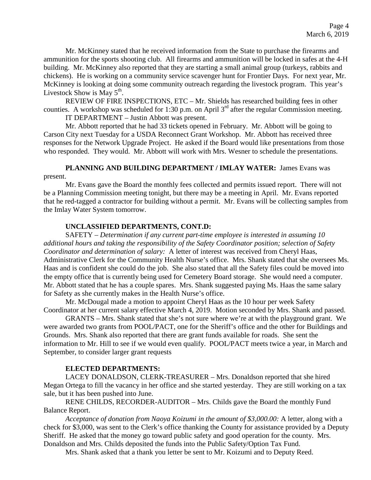Mr. McKinney stated that he received information from the State to purchase the firearms and ammunition for the sports shooting club. All firearms and ammunition will be locked in safes at the 4-H building. Mr. McKinney also reported that they are starting a small animal group (turkeys, rabbits and chickens). He is working on a community service scavenger hunt for Frontier Days. For next year, Mr. McKinney is looking at doing some community outreach regarding the livestock program. This year's Livestock Show is May  $5<sup>th</sup>$ .

REVIEW OF FIRE INSPECTIONS, ETC – Mr. Shields has researched building fees in other counties. A workshop was scheduled for 1:30 p.m. on April  $3<sup>rd</sup>$  after the regular Commission meeting. IT DEPARTMENT – Justin Abbott was present.

Mr. Abbott reported that he had 33 tickets opened in February. Mr. Abbott will be going to Carson City next Tuesday for a USDA Reconnect Grant Workshop. Mr. Abbott has received three responses for the Network Upgrade Project. He asked if the Board would like presentations from those who responded. They would. Mr. Abbott will work with Mrs. Wesner to schedule the presentations.

**PLANNING AND BUILDING DEPARTMENT / IMLAY WATER:** James Evans was present.

Mr. Evans gave the Board the monthly fees collected and permits issued report. There will not be a Planning Commission meeting tonight, but there may be a meeting in April. Mr. Evans reported that he red-tagged a contractor for building without a permit. Mr. Evans will be collecting samples from the Imlay Water System tomorrow.

## **UNCLASSIFIED DEPARTMENTS, CONT.D:**

SAFETY – *Determination if any current part-time employee is interested in assuming 10 additional hours and taking the responsibility of the Safety Coordinator position; selection of Safety Coordinator and determination of salary:* A letter of interest was received from Cheryl Haas, Administrative Clerk for the Community Health Nurse's office. Mrs. Shank stated that she oversees Ms. Haas and is confident she could do the job. She also stated that all the Safety files could be moved into the empty office that is currently being used for Cemetery Board storage. She would need a computer. Mr. Abbott stated that he has a couple spares. Mrs. Shank suggested paying Ms. Haas the same salary for Safety as she currently makes in the Health Nurse's office.

Mr. McDougal made a motion to appoint Cheryl Haas as the 10 hour per week Safety Coordinator at her current salary effective March 4, 2019. Motion seconded by Mrs. Shank and passed.

GRANTS – Mrs. Shank stated that she's not sure where we're at with the playground grant. We were awarded two grants from POOL/PACT, one for the Sheriff's office and the other for Buildings and Grounds. Mrs. Shank also reported that there are grant funds available for roads. She sent the information to Mr. Hill to see if we would even qualify. POOL/PACT meets twice a year, in March and September, to consider larger grant requests

### **ELECTED DEPARTMENTS:**

LACEY DONALDSON, CLERK-TREASURER – Mrs. Donaldson reported that she hired Megan Ortega to fill the vacancy in her office and she started yesterday. They are still working on a tax sale, but it has been pushed into June.

RENE CHILDS, RECORDER-AUDITOR – Mrs. Childs gave the Board the monthly Fund Balance Report.

*Acceptance of donation from Naoya Koizumi in the amount of \$3,000.00:* A letter, along with a check for \$3,000, was sent to the Clerk's office thanking the County for assistance provided by a Deputy Sheriff. He asked that the money go toward public safety and good operation for the county. Mrs. Donaldson and Mrs. Childs deposited the funds into the Public Safety/Option Tax Fund.

Mrs. Shank asked that a thank you letter be sent to Mr. Koizumi and to Deputy Reed.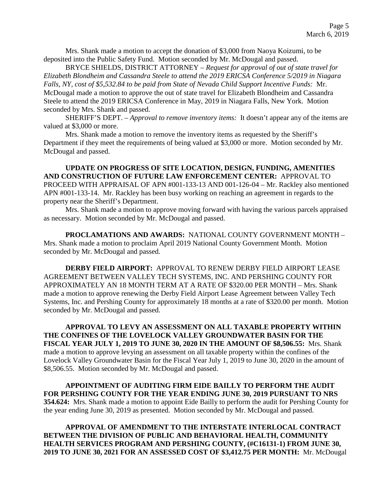Mrs. Shank made a motion to accept the donation of \$3,000 from Naoya Koizumi, to be deposited into the Public Safety Fund. Motion seconded by Mr. McDougal and passed.

BRYCE SHIELDS, DISTRICT ATTORNEY – *Request for approval of out of state travel for Elizabeth Blondheim and Cassandra Steele to attend the 2019 ERICSA Conference 5/2019 in Niagara Falls, NY, cost of \$5,532.84 to be paid from State of Nevada Child Support Incentive Funds:* Mr. McDougal made a motion to approve the out of state travel for Elizabeth Blondheim and Cassandra Steele to attend the 2019 ERICSA Conference in May, 2019 in Niagara Falls, New York. Motion seconded by Mrs. Shank and passed.

SHERIFF'S DEPT. – *Approval to remove inventory items:* It doesn't appear any of the items are valued at \$3,000 or more.

Mrs. Shank made a motion to remove the inventory items as requested by the Sheriff's Department if they meet the requirements of being valued at \$3,000 or more. Motion seconded by Mr. McDougal and passed.

**UPDATE ON PROGRESS OF SITE LOCATION, DESIGN, FUNDING, AMENITIES AND CONSTRUCTION OF FUTURE LAW ENFORCEMENT CENTER:** APPROVAL TO PROCEED WITH APPRAISAL OF APN #001-133-13 AND 001-126-04 – Mr. Rackley also mentioned APN #001-133-14. Mr. Rackley has been busy working on reaching an agreement in regards to the property near the Sheriff's Department.

Mrs. Shank made a motion to approve moving forward with having the various parcels appraised as necessary. Motion seconded by Mr. McDougal and passed.

**PROCLAMATIONS AND AWARDS:** NATIONAL COUNTY GOVERNMENT MONTH – Mrs. Shank made a motion to proclaim April 2019 National County Government Month. Motion seconded by Mr. McDougal and passed.

**DERBY FIELD AIRPORT:** APPROVAL TO RENEW DERBY FIELD AIRPORT LEASE AGREEMENT BETWEEN VALLEY TECH SYSTEMS, INC. AND PERSHING COUNTY FOR APPROXIMATELY AN 18 MONTH TERM AT A RATE OF \$320.00 PER MONTH – Mrs. Shank made a motion to approve renewing the Derby Field Airport Lease Agreement between Valley Tech Systems, Inc. and Pershing County for approximately 18 months at a rate of \$320.00 per month. Motion seconded by Mr. McDougal and passed.

**APPROVAL TO LEVY AN ASSESSMENT ON ALL TAXABLE PROPERTY WITHIN THE CONFINES OF THE LOVELOCK VALLEY GROUNDWATER BASIN FOR THE FISCAL YEAR JULY 1, 2019 TO JUNE 30, 2020 IN THE AMOUNT OF \$8,506.55:** Mrs. Shank made a motion to approve levying an assessment on all taxable property within the confines of the Lovelock Valley Groundwater Basin for the Fiscal Year July 1, 2019 to June 30, 2020 in the amount of \$8,506.55. Motion seconded by Mr. McDougal and passed.

**APPOINTMENT OF AUDITING FIRM EIDE BAILLY TO PERFORM THE AUDIT FOR PERSHING COUNTY FOR THE YEAR ENDING JUNE 30, 2019 PURSUANT TO NRS 354.624:** Mrs. Shank made a motion to appoint Eide Bailly to perform the audit for Pershing County for the year ending June 30, 2019 as presented. Motion seconded by Mr. McDougal and passed.

**APPROVAL OF AMENDMENT TO THE INTERSTATE INTERLOCAL CONTRACT BETWEEN THE DIVISION OF PUBLIC AND BEHAVIORAL HEALTH, COMMUNITY HEALTH SERVICES PROGRAM AND PERSHING COUNTY, (#C16131-1) FROM JUNE 30, 2019 TO JUNE 30, 2021 FOR AN ASSESSED COST OF \$3,412.75 PER MONTH:** Mr. McDougal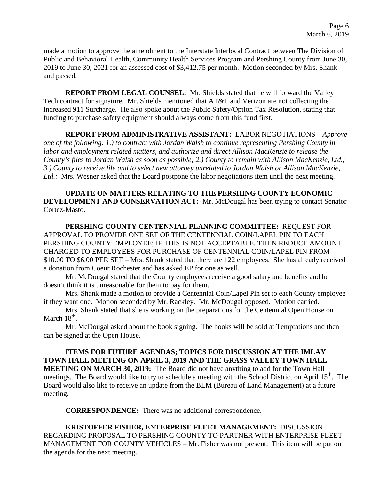made a motion to approve the amendment to the Interstate Interlocal Contract between The Division of Public and Behavioral Health, Community Health Services Program and Pershing County from June 30, 2019 to June 30, 2021 for an assessed cost of \$3,412.75 per month. Motion seconded by Mrs. Shank and passed.

**REPORT FROM LEGAL COUNSEL:** Mr. Shields stated that he will forward the Valley Tech contract for signature. Mr. Shields mentioned that AT&T and Verizon are not collecting the increased 911 Surcharge. He also spoke about the Public Safety/Option Tax Resolution, stating that funding to purchase safety equipment should always come from this fund first.

### **REPORT FROM ADMINISTRATIVE ASSISTANT:** LABOR NEGOTIATIONS – *Approve*

*one of the following: 1.) to contract with Jordan Walsh to continue representing Pershing County in labor and employment related matters, and authorize and direct Allison MacKenzie to release the County's files to Jordan Walsh as soon as possible; 2.) County to remain with Allison MacKenzie, Ltd.; 3.) County to receive file and to select new attorney unrelated to Jordan Walsh or Allison MacKenzie, Ltd.:* Mrs. Wesner asked that the Board postpone the labor negotiations item until the next meeting.

### **UPDATE ON MATTERS RELATING TO THE PERSHING COUNTY ECONOMIC DEVELOPMENT AND CONSERVATION ACT:** Mr. McDougal has been trying to contact Senator Cortez-Masto.

**PERSHING COUNTY CENTENNIAL PLANNING COMMITTEE:** REQUEST FOR APPROVAL TO PROVIDE ONE SET OF THE CENTENNIAL COIN/LAPEL PIN TO EACH PERSHING COUNTY EMPLOYEE; IF THIS IS NOT ACCEPTABLE, THEN REDUCE AMOUNT CHARGED TO EMPLOYEES FOR PURCHASE OF CENTENNIAL COIN/LAPEL PIN FROM \$10.00 TO \$6.00 PER SET – Mrs. Shank stated that there are 122 employees. She has already received a donation from Coeur Rochester and has asked EP for one as well.

Mr. McDougal stated that the County employees receive a good salary and benefits and he doesn't think it is unreasonable for them to pay for them.

Mrs. Shank made a motion to provide a Centennial Coin/Lapel Pin set to each County employee if they want one. Motion seconded by Mr. Rackley. Mr. McDougal opposed. Motion carried.

Mrs. Shank stated that she is working on the preparations for the Centennial Open House on March  $18<sup>th</sup>$ .

Mr. McDougal asked about the book signing. The books will be sold at Temptations and then can be signed at the Open House.

**ITEMS FOR FUTURE AGENDAS; TOPICS FOR DISCUSSION AT THE IMLAY TOWN HALL MEETING ON APRIL 3, 2019 AND THE GRASS VALLEY TOWN HALL MEETING ON MARCH 30, 2019:** The Board did not have anything to add for the Town Hall meetings. The Board would like to try to schedule a meeting with the School District on April 15<sup>th</sup>. The Board would also like to receive an update from the BLM (Bureau of Land Management) at a future meeting.

**CORRESPONDENCE:** There was no additional correspondence.

**KRISTOFFER FISHER, ENTERPRISE FLEET MANAGEMENT:** DISCUSSION REGARDING PROPOSAL TO PERSHING COUNTY TO PARTNER WITH ENTERPRISE FLEET MANAGEMENT FOR COUNTY VEHICLES – Mr. Fisher was not present. This item will be put on the agenda for the next meeting.